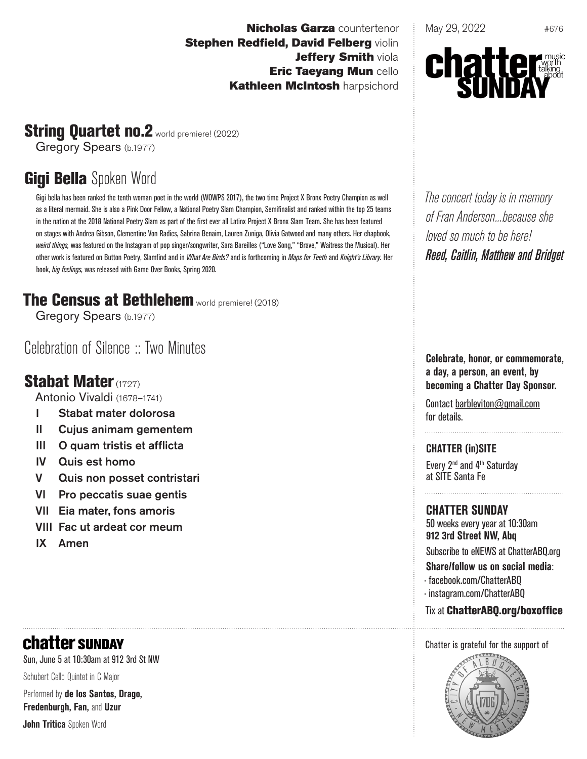**Nicholas Garza** countertenor **Stephen Redfield, David Felberg violin** Jeffery Smith viola Eric Taeyang Mun cello **Kathleen McIntosh harpsichord** 

May 29, 2022 #676



# String Quartet no.2 world premiere! (2022)

Gregory Spears (b.1977)

# **Gigi Bella** Spoken Word

Gigi bella has been ranked the tenth woman poet in the world (WOWPS 2017), the two time Project X Bronx Poetry Champion as well as a literal mermaid. She is also a Pink Door Fellow, a National Poetry Slam Champion, Semifinalist and ranked within the top 25 teams in the nation at the 2018 National Poetry Slam as part of the first ever all Latinx Project X Bronx Slam Team. She has been featured on stages with Andrea Gibson, Clementine Von Radics, Sabrina Benaim, Lauren Zuniga, Olivia Gatwood and many others. Her chapbook, *weird things,* was featured on the Instagram of pop singer/songwriter, Sara Bareilles ("Love Song," "Brave," Waitress the Musical). Her other work is featured on Button Poetry, Slamfind and in *What Are Birds?* and is forthcoming in *Maps for Teeth* and *Knight's Library.* Her book, *big feelings,* was released with Game Over Books, Spring 2020.

# The Census at Bethlehem world premiere! (2018)

Gregory Spears (b.1977)

Celebration of Silence :: Two Minutes

# Stabat Mater (1727)

Antonio Vivaldi (1678–1741)

- I Stabat mater dolorosa
- II Cujus animam gementem
- III O quam tristis et afflicta
- IV Quis est homo
- V Quis non posset contristari
- VI Pro peccatis suae gentis
- VII Eia mater, fons amoris
- VIII Fac ut ardeat cor meum
- IX Amen

# **chatter SUNDAY**

Sun, June 5 at 10:30am at 912 3rd St NW

Schubert Cello Quintet in C Major

Performed by **de los Santos, Drago, Fredenburgh, Fan,** and **Uzur**

**John Tritica** Spoken Word

*The concert today is in memory of Fran Anderson...because she loved so much to be here! Reed, Caitlin, Matthew and Bridget*

**Celebrate, honor, or commemorate, a day, a person, an event, by becoming a Chatter Day Sponsor.**

Contact barbleviton@gmail.com for details.

**CHATTER (in)SITE** Every 2nd and 4th Saturday

at SITE Santa Fe

### **CHATTER SUNDAY**

50 weeks every year at 10:30am **912 3rd Street NW, Abq** Subscribe to eNEWS at ChatterABQ.org

**Share/follow us on social media**:

- · facebook.com/ChatterABQ
- · instagram.com/ChatterABQ

#### Tix at ChatterABQ.org/boxoffice

#### Chatter is grateful for the support of